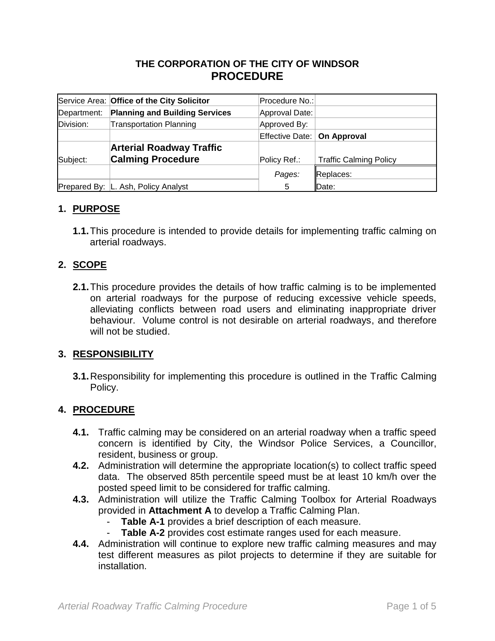## **THE CORPORATION OF THE CITY OF WINDSOR PROCEDURE**

|             | Service Area: Office of the City Solicitor | Procedure No.:                |                               |
|-------------|--------------------------------------------|-------------------------------|-------------------------------|
| Department: | <b>Planning and Building Services</b>      | Approval Date:                |                               |
| Division:   | <b>Transportation Planning</b>             | Approved By:                  |                               |
|             |                                            | Effective Date:   On Approval |                               |
|             | <b>Arterial Roadway Traffic</b>            |                               |                               |
| Subject:    | <b>Calming Procedure</b>                   | Policy Ref.:                  | <b>Traffic Calming Policy</b> |
|             |                                            | Pages:                        | Replaces:                     |
|             | Prepared By: L. Ash, Policy Analyst        | 5                             | Date:                         |

### **1. PURPOSE**

**1.1.**This procedure is intended to provide details for implementing traffic calming on arterial roadways.

#### **2. SCOPE**

**2.1.**This procedure provides the details of how traffic calming is to be implemented on arterial roadways for the purpose of reducing excessive vehicle speeds, alleviating conflicts between road users and eliminating inappropriate driver behaviour. Volume control is not desirable on arterial roadways, and therefore will not be studied.

#### **3. RESPONSIBILITY**

**3.1.**Responsibility for implementing this procedure is outlined in the Traffic Calming Policy.

#### **4. PROCEDURE**

- **4.1.** Traffic calming may be considered on an arterial roadway when a traffic speed concern is identified by City, the Windsor Police Services, a Councillor, resident, business or group.
- **4.2.** Administration will determine the appropriate location(s) to collect traffic speed data. The observed 85th percentile speed must be at least 10 km/h over the posted speed limit to be considered for traffic calming.
- **4.3.** Administration will utilize the Traffic Calming Toolbox for Arterial Roadways provided in **Attachment A** to develop a Traffic Calming Plan.
	- **Table A-1** provides a brief description of each measure.
	- **Table A-2** provides cost estimate ranges used for each measure.
- **4.4.** Administration will continue to explore new traffic calming measures and may test different measures as pilot projects to determine if they are suitable for installation.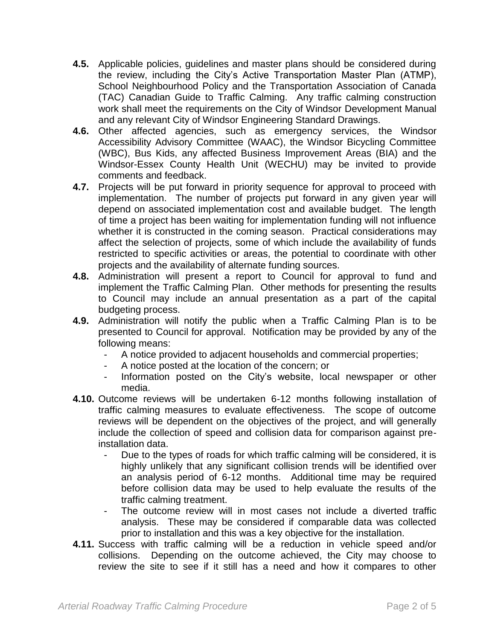- **4.5.** Applicable policies, guidelines and master plans should be considered during the review, including the City's Active Transportation Master Plan (ATMP), School Neighbourhood Policy and the Transportation Association of Canada (TAC) Canadian Guide to Traffic Calming. Any traffic calming construction work shall meet the requirements on the City of Windsor Development Manual and any relevant City of Windsor Engineering Standard Drawings.
- **4.6.** Other affected agencies, such as emergency services, the Windsor Accessibility Advisory Committee (WAAC), the Windsor Bicycling Committee (WBC), Bus Kids, any affected Business Improvement Areas (BIA) and the Windsor-Essex County Health Unit (WECHU) may be invited to provide comments and feedback.
- **4.7.** Projects will be put forward in priority sequence for approval to proceed with implementation. The number of projects put forward in any given year will depend on associated implementation cost and available budget. The length of time a project has been waiting for implementation funding will not influence whether it is constructed in the coming season. Practical considerations may affect the selection of projects, some of which include the availability of funds restricted to specific activities or areas, the potential to coordinate with other projects and the availability of alternate funding sources.
- **4.8.** Administration will present a report to Council for approval to fund and implement the Traffic Calming Plan. Other methods for presenting the results to Council may include an annual presentation as a part of the capital budgeting process.
- **4.9.** Administration will notify the public when a Traffic Calming Plan is to be presented to Council for approval. Notification may be provided by any of the following means:
	- A notice provided to adjacent households and commercial properties;
	- A notice posted at the location of the concern; or
	- Information posted on the City's website, local newspaper or other media.
- **4.10.** Outcome reviews will be undertaken 6-12 months following installation of traffic calming measures to evaluate effectiveness. The scope of outcome reviews will be dependent on the objectives of the project, and will generally include the collection of speed and collision data for comparison against preinstallation data.
	- Due to the types of roads for which traffic calming will be considered, it is highly unlikely that any significant collision trends will be identified over an analysis period of 6-12 months. Additional time may be required before collision data may be used to help evaluate the results of the traffic calming treatment.
	- The outcome review will in most cases not include a diverted traffic analysis. These may be considered if comparable data was collected prior to installation and this was a key objective for the installation.
- **4.11.** Success with traffic calming will be a reduction in vehicle speed and/or collisions. Depending on the outcome achieved, the City may choose to review the site to see if it still has a need and how it compares to other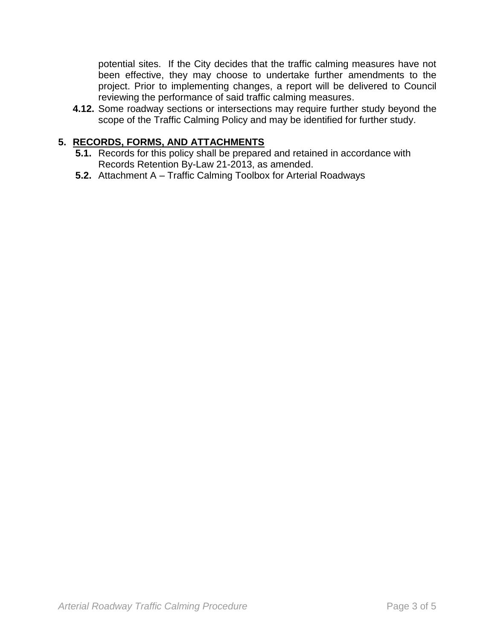potential sites. If the City decides that the traffic calming measures have not been effective, they may choose to undertake further amendments to the project. Prior to implementing changes, a report will be delivered to Council reviewing the performance of said traffic calming measures.

**4.12.** Some roadway sections or intersections may require further study beyond the scope of the Traffic Calming Policy and may be identified for further study.

## **5. RECORDS, FORMS, AND ATTACHMENTS**

- **5.1.** Records for this policy shall be prepared and retained in accordance with Records Retention By-Law 21-2013, as amended.
- **5.2.** Attachment A Traffic Calming Toolbox for Arterial Roadways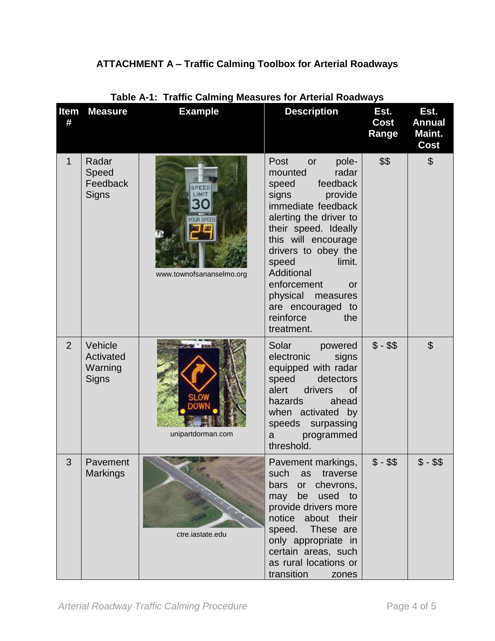# **ATTACHMENT A – Traffic Calming Toolbox for Arterial Roadways**

|                | Table A-T: Traffic Calming Measures for Arterial Roadways |                                  |                                                                                                                                                                                                                                                                                                                                                 |                       |                                                |
|----------------|-----------------------------------------------------------|----------------------------------|-------------------------------------------------------------------------------------------------------------------------------------------------------------------------------------------------------------------------------------------------------------------------------------------------------------------------------------------------|-----------------------|------------------------------------------------|
| Item<br>#      | <b>Measure</b>                                            | <b>Example</b>                   | <b>Description</b>                                                                                                                                                                                                                                                                                                                              | Est.<br>Cost<br>Range | Est.<br><b>Annual</b><br>Maint.<br><b>Cost</b> |
| 1              | Radar<br>Speed<br>Feedback<br>Signs                       | PEED<br>www.townofsananselmo.org | Post<br>pole-<br>or<br>radar<br>mounted<br>feedback<br>speed<br>provide<br>signs<br>immediate feedback<br>alerting the driver to<br>their speed. Ideally<br>this will encourage<br>drivers to obey the<br>limit.<br>speed<br>Additional<br>enforcement<br><b>or</b><br>physical measures<br>are encouraged to<br>reinforce<br>the<br>treatment. | \$\$                  | $\mathfrak{S}$                                 |
| $\overline{2}$ | Vehicle<br>Activated<br>Warning<br>Signs                  | unipartdorman.com                | Solar<br>powered<br>electronic<br>signs<br>equipped with radar<br>speed<br>detectors<br>alert<br>drivers<br><b>of</b><br>hazards<br>ahead<br>when activated by<br>speeds surpassing<br>programmed<br>a<br>threshold.                                                                                                                            | $$ - $$               | $\mathfrak{L}$                                 |
| 3              | Pavement<br><b>Markings</b>                               | ctre.iastate.edu                 | Pavement markings,<br>such<br>as<br>traverse<br>or chevrons,<br>bars<br>be used to<br>may<br>provide drivers more<br>notice about their<br>speed.<br>These are<br>only appropriate in<br>certain areas, such<br>as rural locations or<br>transition<br>zones                                                                                    | $$ - $$               | $$ - $$                                        |

## **Table A-1: Traffic Calming Measures for Arterial Roadways**